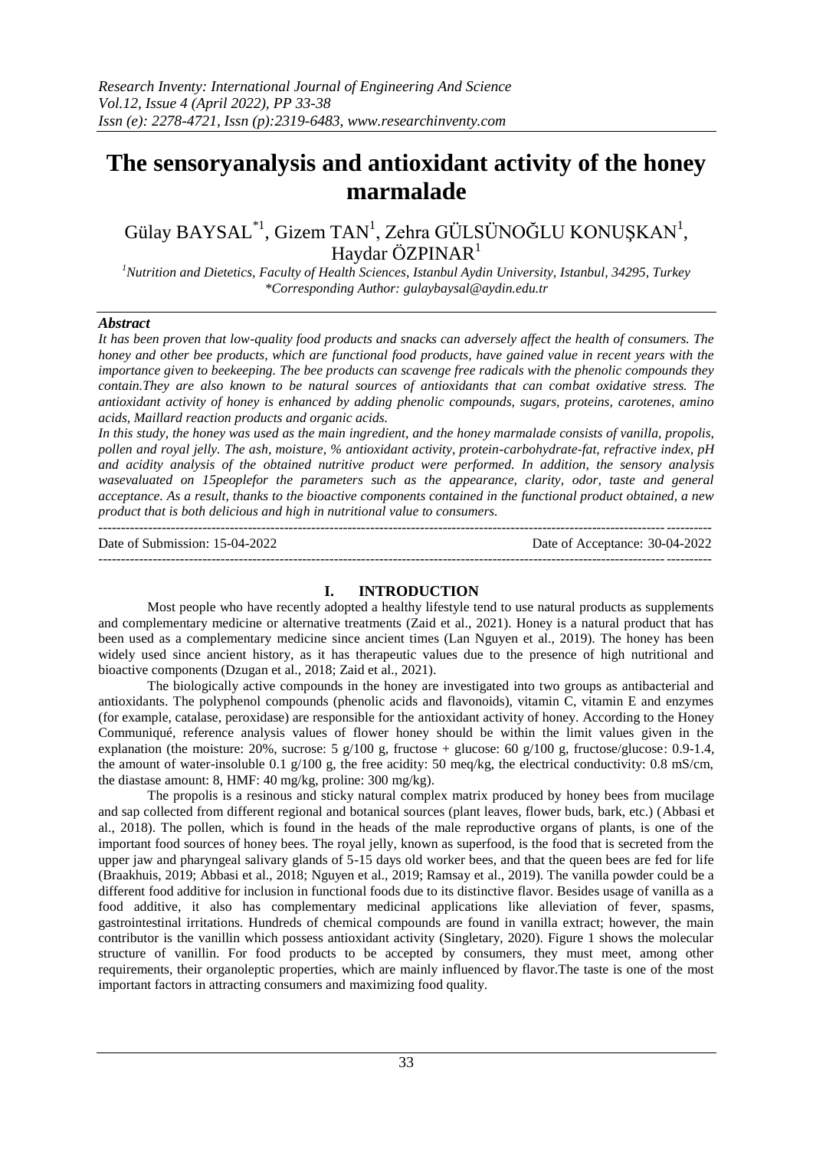---------------------------------------------------------------------------------------------------------------------------------------

# **The sensoryanalysis and antioxidant activity of the honey marmalade**

Gülay BAYSAL $^{*1}$ , Gizem TAN<sup>1</sup>, Zehra GÜLSÜNOĞLU KONUŞKAN<sup>1</sup>, Haydar ÖZPINAR $<sup>1</sup>$ </sup>

*<sup>1</sup>Nutrition and Dietetics, Faculty of Health Sciences, Istanbul Aydin University, Istanbul, 34295, Turkey \*Corresponding Author[: gulaybaysal@aydin.edu.tr](mailto:gulaybaysal@aydin.edu.tr)*

## *Abstract*

*It has been proven that low-quality food products and snacks can adversely affect the health of consumers. The honey and other bee products, which are functional food products, have gained value in recent years with the importance given to beekeeping. The bee products can scavenge free radicals with the phenolic compounds they contain.They are also known to be natural sources of antioxidants that can combat oxidative stress. The antioxidant activity of honey is enhanced by adding phenolic compounds, sugars, proteins, carotenes, amino acids, Maillard reaction products and organic acids.*

*In this study, the honey was used as the main ingredient, and the honey marmalade consists of vanilla, propolis, pollen and royal jelly. The ash, moisture, % antioxidant activity, protein-carbohydrate-fat, refractive index, pH and acidity analysis of the obtained nutritive product were performed. In addition, the sensory analysis wasevaluated on 15peoplefor the parameters such as the appearance, clarity, odor, taste and general acceptance. As a result, thanks to the bioactive components contained in the functional product obtained, a new product that is both delicious and high in nutritional value to consumers.*

Date of Submission: 15-04-2022 Date of Acceptance: 30-04-2022 ---------------------------------------------------------------------------------------------------------------------------------------

# **I. INTRODUCTION**

Most people who have recently adopted a healthy lifestyle tend to use natural products as supplements and complementary medicine or alternative treatments (Zaid et al., 2021). Honey is a natural product that has been used as a complementary medicine since ancient times (Lan Nguyen et al., 2019). The honey has been widely used since ancient history, as it has therapeutic values due to the presence of high nutritional and bioactive components (Dzugan et al., 2018; Zaid et al., 2021).

The biologically active compounds in the honey are investigated into two groups as antibacterial and antioxidants. The polyphenol compounds (phenolic acids and flavonoids), vitamin C, vitamin E and enzymes (for example, catalase, peroxidase) are responsible for the antioxidant activity of honey. According to the Honey Communiqué, reference analysis values of flower honey should be within the limit values given in the explanation (the moisture: 20%, sucrose: 5 g/100 g, fructose + glucose: 60 g/100 g, fructose/glucose: 0.9-1.4, the amount of water-insoluble 0.1 g/100 g, the free acidity: 50 meq/kg, the electrical conductivity: 0.8 mS/cm, the diastase amount: 8, HMF: 40 mg/kg, proline: 300 mg/kg).

The propolis is a resinous and sticky natural complex matrix produced by honey bees from mucilage and sap collected from different regional and botanical sources (plant leaves, flower buds, bark, etc.) (Abbasi et al., 2018). The pollen, which is found in the heads of the male reproductive organs of plants, is one of the important food sources of honey bees. The royal jelly, known as superfood, is the food that is secreted from the upper jaw and pharyngeal salivary glands of 5-15 days old worker bees, and that the queen bees are fed for life (Braakhuis, 2019; Abbasi et al., 2018; Nguyen et al., 2019; Ramsay et al., 2019). The vanilla powder could be a different food additive for inclusion in functional foods due to its distinctive flavor. Besides usage of vanilla as a food additive, it also has complementary medicinal applications like alleviation of fever, spasms, gastrointestinal irritations. Hundreds of chemical compounds are found in vanilla extract; however, the main contributor is the vanillin which possess antioxidant activity (Singletary, 2020). Figure 1 shows the molecular structure of vanillin. For food products to be accepted by consumers, they must meet, among other requirements, their organoleptic properties, which are mainly influenced by flavor.The taste is one of the most important factors in attracting consumers and maximizing food quality.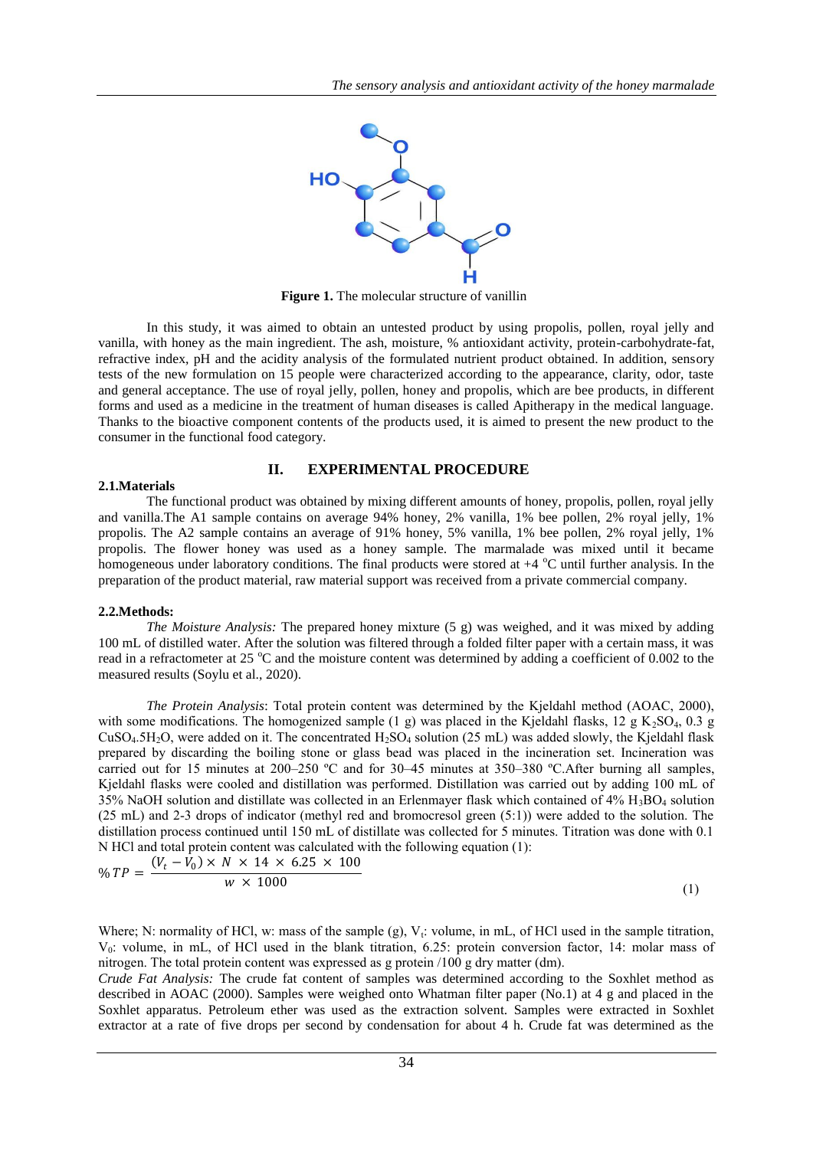

**Figure 1.** The molecular structure of vanillin

In this study, it was aimed to obtain an untested product by using propolis, pollen, royal jelly and vanilla, with honey as the main ingredient. The ash, moisture, % antioxidant activity, protein-carbohydrate-fat, refractive index, pH and the acidity analysis of the formulated nutrient product obtained. In addition, sensory tests of the new formulation on 15 people were characterized according to the appearance, clarity, odor, taste and general acceptance. The use of royal jelly, pollen, honey and propolis, which are bee products, in different forms and used as a medicine in the treatment of human diseases is called Apitherapy in the medical language. Thanks to the bioactive component contents of the products used, it is aimed to present the new product to the consumer in the functional food category.

### **II. EXPERIMENTAL PROCEDURE**

#### **2.1.Materials**

The functional product was obtained by mixing different amounts of honey, propolis, pollen, royal jelly and vanilla.The A1 sample contains on average 94% honey, 2% vanilla, 1% bee pollen, 2% royal jelly, 1% propolis. The A2 sample contains an average of 91% honey, 5% vanilla, 1% bee pollen, 2% royal jelly, 1% propolis. The flower honey was used as a honey sample. The marmalade was mixed until it became homogeneous under laboratory conditions. The final products were stored at  $+4$  °C until further analysis. In the preparation of the product material, raw material support was received from a private commercial company.

#### **2.2.Methods:**

*The Moisture Analysis:* The prepared honey mixture (5 g) was weighed, and it was mixed by adding 100 mL of distilled water. After the solution was filtered through a folded filter paper with a certain mass, it was read in a refractometer at 25  $\degree$ C and the moisture content was determined by adding a coefficient of 0.002 to the measured results (Soylu et al., 2020).

*The Protein Analysis*: Total protein content was determined by the Kjeldahl method (AOAC, 2000), with some modifications. The homogenized sample (1 g) was placed in the Kjeldahl flasks,  $12 \text{ g K}_2\text{SO}_4$ , 0.3 g  $CuSO<sub>4</sub>5H<sub>2</sub>O$ , were added on it. The concentrated  $H<sub>2</sub>SO<sub>4</sub>$  solution (25 mL) was added slowly, the Kjeldahl flask prepared by discarding the boiling stone or glass bead was placed in the incineration set. Incineration was carried out for 15 minutes at 200–250 ºC and for 30–45 minutes at 350–380 ºC.After burning all samples, Kjeldahl flasks were cooled and distillation was performed. Distillation was carried out by adding 100 mL of 35% NaOH solution and distillate was collected in an Erlenmayer flask which contained of  $4\%$  H<sub>3</sub>BO<sub>4</sub> solution (25 mL) and 2-3 drops of indicator (methyl red and bromocresol green (5:1)) were added to the solution. The distillation process continued until 150 mL of distillate was collected for 5 minutes. Titration was done with 0.1 N HCl and total protein content was calculated with the following equation (1):

$$
\% \ TP = \frac{(V_t - V_0) \times N \times 14 \times 6.25 \times 100}{w \times 1000} \tag{1}
$$

Where; N: normality of HCl, w: mass of the sample (g),  $V_t$ : volume, in mL, of HCl used in the sample titration, V<sub>0</sub>: volume, in mL, of HCl used in the blank titration, 6.25: protein conversion factor, 14: molar mass of nitrogen. The total protein content was expressed as g protein /100 g dry matter (dm).

*Crude Fat Analysis:* The crude fat content of samples was determined according to the Soxhlet method as described in AOAC (2000). Samples were weighed onto Whatman filter paper (No.1) at 4 g and placed in the Soxhlet apparatus. Petroleum ether was used as the extraction solvent. Samples were extracted in Soxhlet extractor at a rate of five drops per second by condensation for about 4 h. Crude fat was determined as the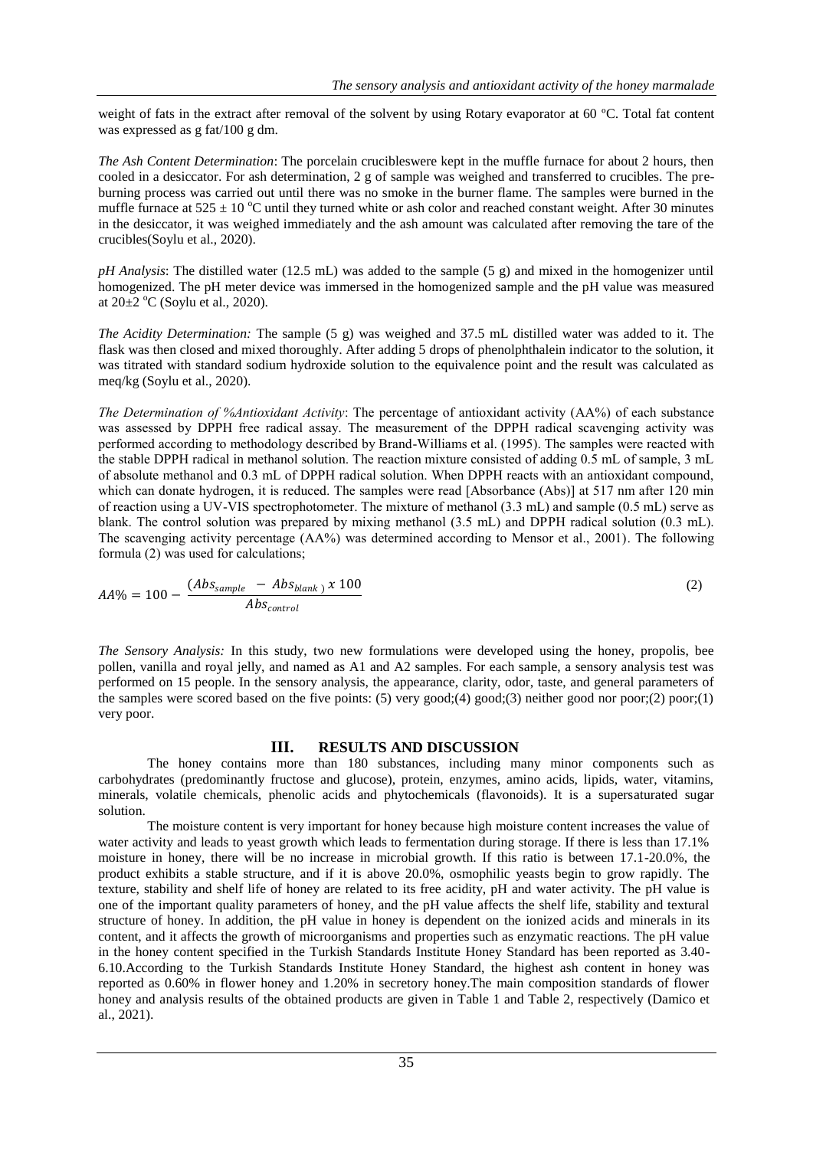weight of fats in the extract after removal of the solvent by using Rotary evaporator at 60 °C. Total fat content was expressed as g fat/100 g dm.

*The Ash Content Determination*: The porcelain crucibleswere kept in the muffle furnace for about 2 hours, then cooled in a desiccator. For ash determination, 2 g of sample was weighed and transferred to crucibles. The preburning process was carried out until there was no smoke in the burner flame. The samples were burned in the muffle furnace at  $525 \pm 10$  °C until they turned white or ash color and reached constant weight. After 30 minutes in the desiccator, it was weighed immediately and the ash amount was calculated after removing the tare of the crucibles(Soylu et al., 2020).

*pH Analysis*: The distilled water (12.5 mL) was added to the sample (5 g) and mixed in the homogenizer until homogenized. The pH meter device was immersed in the homogenized sample and the pH value was measured at  $20\pm2$  °C (Soylu et al., 2020).

*The Acidity Determination:* The sample (5 g) was weighed and 37.5 mL distilled water was added to it. The flask was then closed and mixed thoroughly. After adding 5 drops of phenolphthalein indicator to the solution, it was titrated with standard sodium hydroxide solution to the equivalence point and the result was calculated as meq/kg (Soylu et al., 2020).

*The Determination of %Antioxidant Activity*: The percentage of antioxidant activity (AA%) of each substance was assessed by DPPH free radical assay. The measurement of the DPPH radical scavenging activity was performed according to methodology described by Brand-Williams et al. (1995). The samples were reacted with the stable DPPH radical in methanol solution. The reaction mixture consisted of adding 0.5 mL of sample, 3 mL of absolute methanol and 0.3 mL of DPPH radical solution. When DPPH reacts with an antioxidant compound, which can donate hydrogen, it is reduced. The samples were read [Absorbance (Abs)] at 517 nm after 120 min of reaction using a UV-VIS spectrophotometer. The mixture of methanol (3.3 mL) and sample (0.5 mL) serve as blank. The control solution was prepared by mixing methanol (3.5 mL) and DPPH radical solution (0.3 mL). The scavenging activity percentage (AA%) was determined according to Mensor et al., 2001). The following formula (2) was used for calculations;

$$
AA\% = 100 - \frac{(Abs_{sample} - Abs_{blank}) \times 100}{Abs_{control}} \tag{2}
$$

*The Sensory Analysis:* In this study, two new formulations were developed using the honey, propolis, bee pollen, vanilla and royal jelly, and named as A1 and A2 samples. For each sample, a sensory analysis test was performed on 15 people. In the sensory analysis, the appearance, clarity, odor, taste, and general parameters of the samples were scored based on the five points: (5) very good;(4) good;(3) neither good nor poor;(2) poor;(1) very poor.

### **III. RESULTS AND DISCUSSION**

The honey contains more than 180 substances, including many minor components such as carbohydrates (predominantly fructose and glucose), protein, enzymes, amino acids, lipids, water, vitamins, minerals, volatile chemicals, phenolic acids and phytochemicals (flavonoids). It is a supersaturated sugar solution.

The moisture content is very important for honey because high moisture content increases the value of water activity and leads to yeast growth which leads to fermentation during storage. If there is less than 17.1% moisture in honey, there will be no increase in microbial growth. If this ratio is between 17.1-20.0%, the product exhibits a stable structure, and if it is above 20.0%, osmophilic yeasts begin to grow rapidly. The texture, stability and shelf life of honey are related to its free acidity, pH and water activity. The pH value is one of the important quality parameters of honey, and the pH value affects the shelf life, stability and textural structure of honey. In addition, the pH value in honey is dependent on the ionized acids and minerals in its content, and it affects the growth of microorganisms and properties such as enzymatic reactions. The pH value in the honey content specified in the Turkish Standards Institute Honey Standard has been reported as 3.40- 6.10.According to the Turkish Standards Institute Honey Standard, the highest ash content in honey was reported as 0.60% in flower honey and 1.20% in secretory honey.The main composition standards of flower honey and analysis results of the obtained products are given in Table 1 and Table 2, respectively (Damico et al., 2021).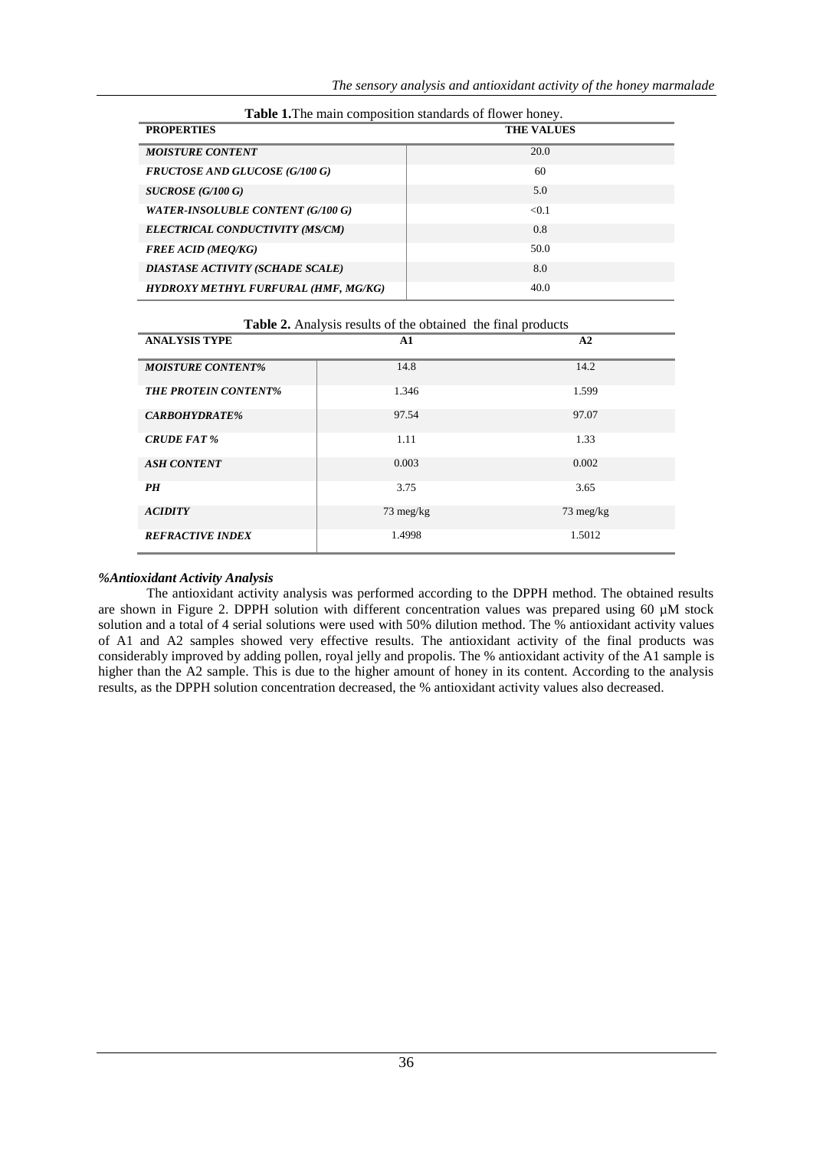| <b>PROPERTIES</b>                        | <b>Table 1.</b> The main composition standards of Howel Honey.<br><b>THE VALUES</b> |  |
|------------------------------------------|-------------------------------------------------------------------------------------|--|
| <b>MOISTURE CONTENT</b>                  | 20.0                                                                                |  |
| <b>FRUCTOSE AND GLUCOSE (G/100 G)</b>    | 60                                                                                  |  |
| $SUCROSE$ (G/100 G)                      | 5.0                                                                                 |  |
| <b>WATER-INSOLUBLE CONTENT (G/100 G)</b> | < 0.1                                                                               |  |
| ELECTRICAL CONDUCTIVITY (MS/CM)          | 0.8                                                                                 |  |
| <b>FREE ACID (MEQ/KG)</b>                | 50.0                                                                                |  |
| DIASTASE ACTIVITY (SCHADE SCALE)         | 8.0                                                                                 |  |
| HYDROXY METHYL FURFURAL (HMF, MG/KG)     | 40.0                                                                                |  |

| Table 1. The main composition standards of flower honey. |  |  |  |  |
|----------------------------------------------------------|--|--|--|--|
|----------------------------------------------------------|--|--|--|--|

| Table 2. Analysis results of the obtained the final products |                     |                     |  |  |  |  |
|--------------------------------------------------------------|---------------------|---------------------|--|--|--|--|
| <b>ANALYSIS TYPE</b>                                         | A1                  | A2                  |  |  |  |  |
| <b>MOISTURE CONTENT%</b>                                     | 14.8                | 14.2                |  |  |  |  |
| <b>THE PROTEIN CONTENT%</b>                                  | 1.346               | 1.599               |  |  |  |  |
| <b>CARBOHYDRATE%</b>                                         | 97.54               | 97.07               |  |  |  |  |
| <b>CRUDE FAT %</b>                                           | 1.11                | 1.33                |  |  |  |  |
| <b>ASH CONTENT</b>                                           | 0.003               | 0.002               |  |  |  |  |
| <b>PH</b>                                                    | 3.75                | 3.65                |  |  |  |  |
| <b>ACIDITY</b>                                               | $73 \text{ meg/kg}$ | $73 \text{ meg/kg}$ |  |  |  |  |
| <b>REFRACTIVE INDEX</b>                                      | 1.4998              | 1.5012              |  |  |  |  |

#### *%Antioxidant Activity Analysis*

The antioxidant activity analysis was performed according to the DPPH method. The obtained results are shown in Figure 2. DPPH solution with different concentration values was prepared using 60 µM stock solution and a total of 4 serial solutions were used with 50% dilution method. The % antioxidant activity values of A1 and A2 samples showed very effective results. The antioxidant activity of the final products was considerably improved by adding pollen, royal jelly and propolis. The % antioxidant activity of the A1 sample is higher than the A2 sample. This is due to the higher amount of honey in its content. According to the analysis results, as the DPPH solution concentration decreased, the % antioxidant activity values also decreased.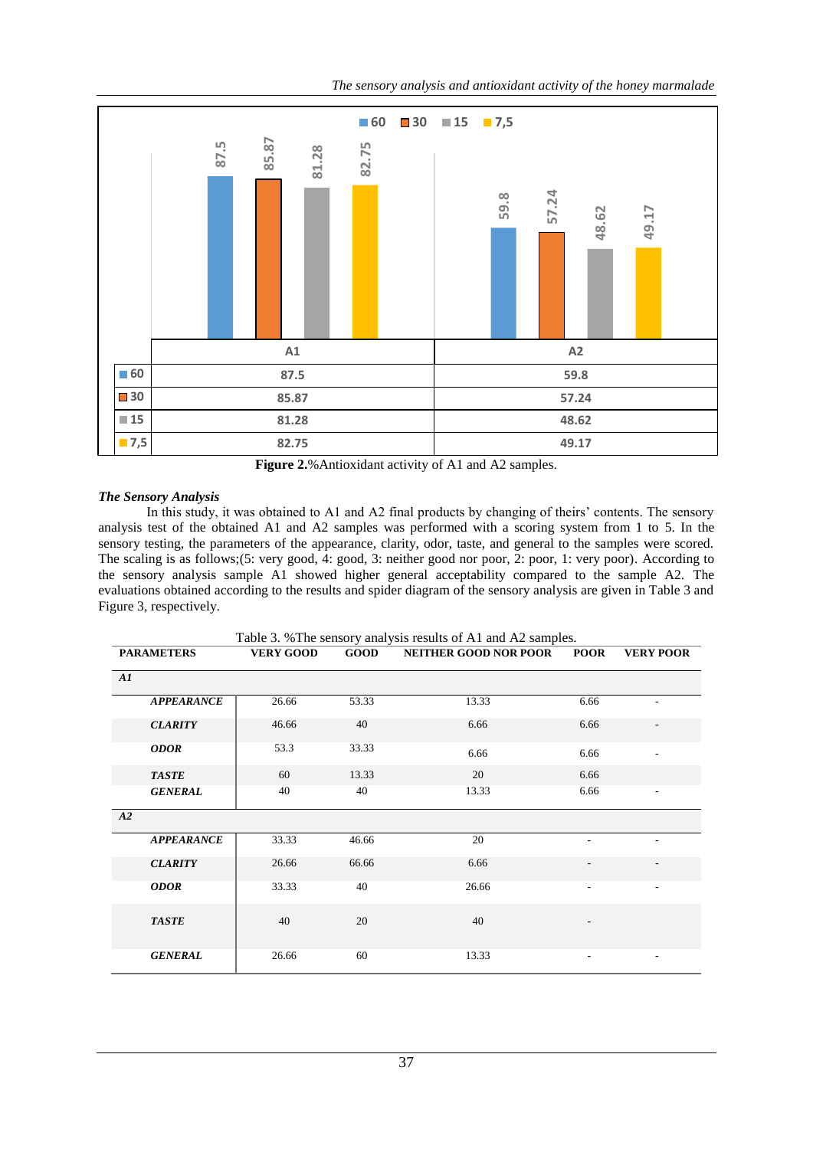*The sensory analysis and antioxidant activity of the honey marmalade*



**Figure 2.**%Antioxidant activity of A1 and A2 samples.

## *The Sensory Analysis*

In this study, it was obtained to A1 and A2 final products by changing of theirs' contents. The sensory analysis test of the obtained A1 and A2 samples was performed with a scoring system from 1 to 5. In the sensory testing, the parameters of the appearance, clarity, odor, taste, and general to the samples were scored. The scaling is as follows;(5: very good, 4: good, 3: neither good nor poor, 2: poor, 1: very poor)*.* According to the sensory analysis sample A1 showed higher general acceptability compared to the sample A2. The evaluations obtained according to the results and spider diagram of the sensory analysis are given in Table 3 and Figure 3, respectively.

| Table 3. % The sensory analysis results of A1 and A2 samples. |                   |                  |       |                              |                |                          |  |  |
|---------------------------------------------------------------|-------------------|------------------|-------|------------------------------|----------------|--------------------------|--|--|
|                                                               | <b>PARAMETERS</b> | <b>VERY GOOD</b> | GOOD  | <b>NEITHER GOOD NOR POOR</b> | <b>POOR</b>    | <b>VERY POOR</b>         |  |  |
| AI                                                            |                   |                  |       |                              |                |                          |  |  |
|                                                               | <b>APPEARANCE</b> | 26.66            | 53.33 | 13.33                        | 6.66           |                          |  |  |
|                                                               | <b>CLARITY</b>    | 46.66            | 40    | 6.66                         | 6.66           |                          |  |  |
|                                                               | <b>ODOR</b>       | 53.3             | 33.33 | 6.66                         | 6.66           |                          |  |  |
|                                                               | <b>TASTE</b>      | 60               | 13.33 | 20                           | 6.66           |                          |  |  |
|                                                               | <b>GENERAL</b>    | 40               | 40    | 13.33                        | 6.66           | $\overline{a}$           |  |  |
| A2                                                            |                   |                  |       |                              |                |                          |  |  |
|                                                               | <b>APPEARANCE</b> | 33.33            | 46.66 | 20                           | $\overline{a}$ | $\overline{\phantom{0}}$ |  |  |
|                                                               | <b>CLARITY</b>    | 26.66            | 66.66 | 6.66                         | $\overline{a}$ |                          |  |  |
|                                                               | <b>ODOR</b>       | 33.33            | 40    | 26.66                        | $\overline{a}$ | ۰                        |  |  |
|                                                               | <b>TASTE</b>      | 40               | 20    | 40                           |                |                          |  |  |
|                                                               | <b>GENERAL</b>    | 26.66            | 60    | 13.33                        | ۰              | ٠                        |  |  |

Table 3. %The sensory analysis results of A1 and A2 samples.